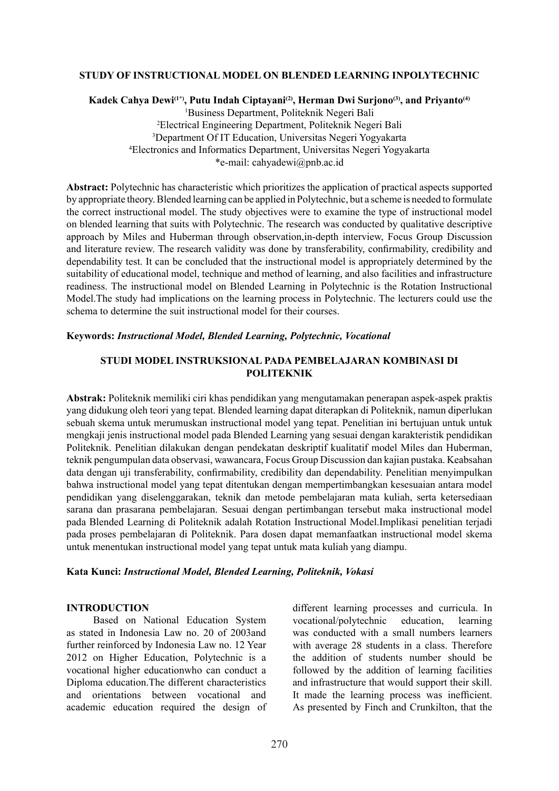## **STUDY OF INSTRUCTIONAL MODEL ON BLENDED LEARNING INPOLYTECHNIC**

# Kadek Cahya Dewi<sup>(1\*)</sup>, Putu Indah Ciptayani<sup>(2)</sup>, Herman Dwi Surjono<sup>(3)</sup>, and Priyanto<sup>(4)</sup> 1 Business Department, Politeknik Negeri Bali 2 Electrical Engineering Department, Politeknik Negeri Bali 3 Department Of IT Education, Universitas Negeri Yogyakarta 4 Electronics and Informatics Department, Universitas Negeri Yogyakarta \*e-mail: cahyadewi@pnb.ac.id

**Abstract:** Polytechnic has characteristic which prioritizes the application of practical aspects supported by appropriate theory. Blended learning can be applied in Polytechnic, but a scheme is needed to formulate the correct instructional model. The study objectives were to examine the type of instructional model on blended learning that suits with Polytechnic. The research was conducted by qualitative descriptive approach by Miles and Huberman through observation,in-depth interview, Focus Group Discussion and literature review. The research validity was done by transferability, confirmability, credibility and dependability test. It can be concluded that the instructional model is appropriately determined by the suitability of educational model, technique and method of learning, and also facilities and infrastructure readiness. The instructional model on Blended Learning in Polytechnic is the Rotation Instructional Model.The study had implications on the learning process in Polytechnic. The lecturers could use the schema to determine the suit instructional model for their courses.

## **Keywords:** *Instructional Model, Blended Learning, Polytechnic, Vocational*

# **STUDI MODEL INSTRUKSIONAL PADA PEMBELAJARAN KOMBINASI DI POLITEKNIK**

**Abstrak:** Politeknik memiliki ciri khas pendidikan yang mengutamakan penerapan aspek-aspek praktis yang didukung oleh teori yang tepat. Blended learning dapat diterapkan di Politeknik, namun diperlukan sebuah skema untuk merumuskan instructional model yang tepat. Penelitian ini bertujuan untuk untuk mengkaji jenis instructional model pada Blended Learning yang sesuai dengan karakteristik pendidikan Politeknik. Penelitian dilakukan dengan pendekatan deskriptif kualitatif model Miles dan Huberman, teknik pengumpulan data observasi, wawancara, Focus Group Discussion dan kajian pustaka. Keabsahan data dengan uji transferability, confirmability, credibility dan dependability. Penelitian menyimpulkan bahwa instructional model yang tepat ditentukan dengan mempertimbangkan kesesuaian antara model pendidikan yang diselenggarakan, teknik dan metode pembelajaran mata kuliah, serta ketersediaan sarana dan prasarana pembelajaran. Sesuai dengan pertimbangan tersebut maka instructional model pada Blended Learning di Politeknik adalah Rotation Instructional Model.Implikasi penelitian terjadi pada proses pembelajaran di Politeknik. Para dosen dapat memanfaatkan instructional model skema untuk menentukan instructional model yang tepat untuk mata kuliah yang diampu.

## **Kata Kunci:** *Instructional Model, Blended Learning, Politeknik, Vokasi*

## **INTRODUCTION**

Based on National Education System as stated in Indonesia Law no. 20 of 2003and further reinforced by Indonesia Law no. 12 Year 2012 on Higher Education, Polytechnic is a vocational higher educationwho can conduct a Diploma education.The different characteristics and orientations between vocational and academic education required the design of different learning processes and curricula. In vocational/polytechnic education, learning was conducted with a small numbers learners with average 28 students in a class. Therefore the addition of students number should be followed by the addition of learning facilities and infrastructure that would support their skill. It made the learning process was inefficient. As presented by Finch and Crunkilton, that the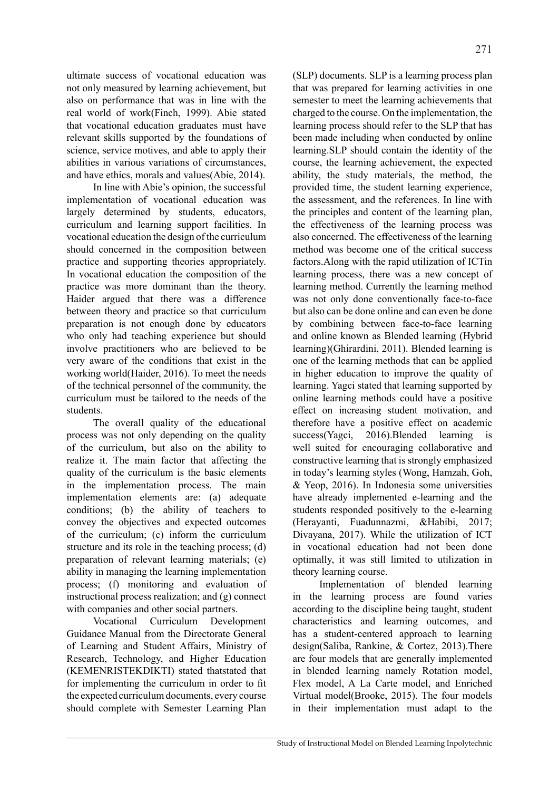ultimate success of vocational education was not only measured by learning achievement, but also on performance that was in line with the real world of work(Finch, 1999). Abie stated that vocational education graduates must have relevant skills supported by the foundations of science, service motives, and able to apply their abilities in various variations of circumstances, and have ethics, morals and values(Abie, 2014).

In line with Abie's opinion, the successful implementation of vocational education was largely determined by students, educators, curriculum and learning support facilities. In vocational education the design of the curriculum should concerned in the composition between practice and supporting theories appropriately. In vocational education the composition of the practice was more dominant than the theory. Haider argued that there was a difference between theory and practice so that curriculum preparation is not enough done by educators who only had teaching experience but should involve practitioners who are believed to be very aware of the conditions that exist in the working world(Haider, 2016). To meet the needs of the technical personnel of the community, the curriculum must be tailored to the needs of the students.

The overall quality of the educational process was not only depending on the quality of the curriculum, but also on the ability to realize it. The main factor that affecting the quality of the curriculum is the basic elements in the implementation process. The main implementation elements are: (a) adequate conditions; (b) the ability of teachers to convey the objectives and expected outcomes of the curriculum; (c) inform the curriculum structure and its role in the teaching process; (d) preparation of relevant learning materials; (e) ability in managing the learning implementation process; (f) monitoring and evaluation of instructional process realization; and (g) connect with companies and other social partners.

Vocational Curriculum Development Guidance Manual from the Directorate General of Learning and Student Affairs, Ministry of Research, Technology, and Higher Education (KEMENRISTEKDIKTI) stated thatstated that for implementing the curriculum in order to fit the expected curriculum documents, every course should complete with Semester Learning Plan (SLP) documents. SLP is a learning process plan that was prepared for learning activities in one semester to meet the learning achievements that charged to the course. On the implementation, the learning process should refer to the SLP that has been made including when conducted by online learning.SLP should contain the identity of the course, the learning achievement, the expected ability, the study materials, the method, the provided time, the student learning experience, the assessment, and the references. In line with the principles and content of the learning plan, the effectiveness of the learning process was also concerned. The effectiveness of the learning method was become one of the critical success factors.Along with the rapid utilization of ICTin learning process, there was a new concept of learning method. Currently the learning method was not only done conventionally face-to-face but also can be done online and can even be done by combining between face-to-face learning and online known as Blended learning (Hybrid learning)(Ghirardini, 2011). Blended learning is one of the learning methods that can be applied in higher education to improve the quality of learning. Yagci stated that learning supported by online learning methods could have a positive effect on increasing student motivation, and therefore have a positive effect on academic success(Yagci, 2016).Blended learning is well suited for encouraging collaborative and constructive learning that is strongly emphasized in today's learning styles (Wong, Hamzah, Goh, & Yeop, 2016). In Indonesia some universities have already implemented e-learning and the students responded positively to the e-learning (Herayanti, Fuadunnazmi, &Habibi, 2017; Divayana, 2017). While the utilization of ICT in vocational education had not been done optimally, it was still limited to utilization in theory learning course.

Implementation of blended learning in the learning process are found varies according to the discipline being taught, student characteristics and learning outcomes, and has a student-centered approach to learning design(Saliba, Rankine, & Cortez, 2013).There are four models that are generally implemented in blended learning namely Rotation model, Flex model, A La Carte model, and Enriched Virtual model(Brooke, 2015). The four models in their implementation must adapt to the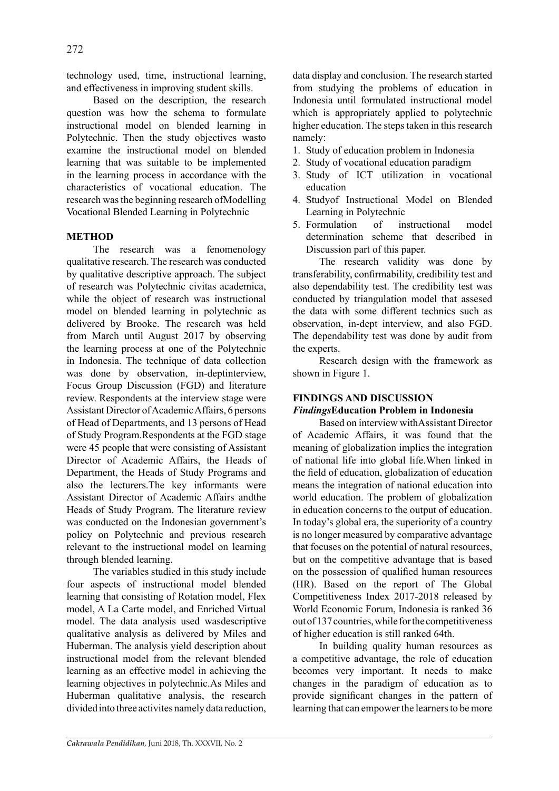technology used, time, instructional learning, and effectiveness in improving student skills.

Based on the description, the research question was how the schema to formulate instructional model on blended learning in Polytechnic. Then the study objectives wasto examine the instructional model on blended learning that was suitable to be implemented in the learning process in accordance with the characteristics of vocational education. The research was the beginning research ofModelling Vocational Blended Learning in Polytechnic

# **METHOD**

The research was a fenomenology qualitative research. The research was conducted by qualitative descriptive approach. The subject of research was Polytechnic civitas academica, while the object of research was instructional model on blended learning in polytechnic as delivered by Brooke. The research was held from March until August 2017 by observing the learning process at one of the Polytechnic in Indonesia. The technique of data collection was done by observation, in-deptinterview, Focus Group Discussion (FGD) and literature review. Respondents at the interview stage were Assistant Director of Academic Affairs, 6 persons of Head of Departments, and 13 persons of Head of Study Program.Respondents at the FGD stage were 45 people that were consisting of Assistant Director of Academic Affairs, the Heads of Department, the Heads of Study Programs and also the lecturers.The key informants were Assistant Director of Academic Affairs andthe Heads of Study Program. The literature review was conducted on the Indonesian government's policy on Polytechnic and previous research relevant to the instructional model on learning through blended learning.

The variables studied in this study include four aspects of instructional model blended learning that consisting of Rotation model, Flex model, A La Carte model, and Enriched Virtual model. The data analysis used wasdescriptive qualitative analysis as delivered by Miles and Huberman. The analysis yield description about instructional model from the relevant blended learning as an effective model in achieving the learning objectives in polytechnic.As Miles and Huberman qualitative analysis, the research divided into three activites namely data reduction, data display and conclusion. The research started from studying the problems of education in Indonesia until formulated instructional model which is appropriately applied to polytechnic higher education. The steps taken in this research namely:

- 1. Study of education problem in Indonesia
- 2. Study of vocational education paradigm
- 3. Study of ICT utilization in vocational education
- 4. Studyof Instructional Model on Blended Learning in Polytechnic
- 5. Formulation of instructional model determination scheme that described in Discussion part of this paper.

The research validity was done by transferability, confirmability, credibility test and also dependability test. The credibility test was conducted by triangulation model that assesed the data with some different technics such as observation, in-dept interview, and also FGD. The dependability test was done by audit from the experts.

Research design with the framework as shown in Figure 1.

# **FINDINGS AND DISCUSSION**

# *Findings***Education Problem in Indonesia**

Based on interview withAssistant Director of Academic Affairs, it was found that the meaning of globalization implies the integration of national life into global life.When linked in the field of education, globalization of education means the integration of national education into world education. The problem of globalization in education concerns to the output of education. In today's global era, the superiority of a country is no longer measured by comparative advantage that focuses on the potential of natural resources, but on the competitive advantage that is based on the possession of qualified human resources (HR). Based on the report of The Global Competitiveness Index 2017-2018 released by World Economic Forum, Indonesia is ranked 36 out of 137 countries, while for the competitiveness of higher education is still ranked 64th.

In building quality human resources as a competitive advantage, the role of education becomes very important. It needs to make changes in the paradigm of education as to provide significant changes in the pattern of learning that can empower the learners to be more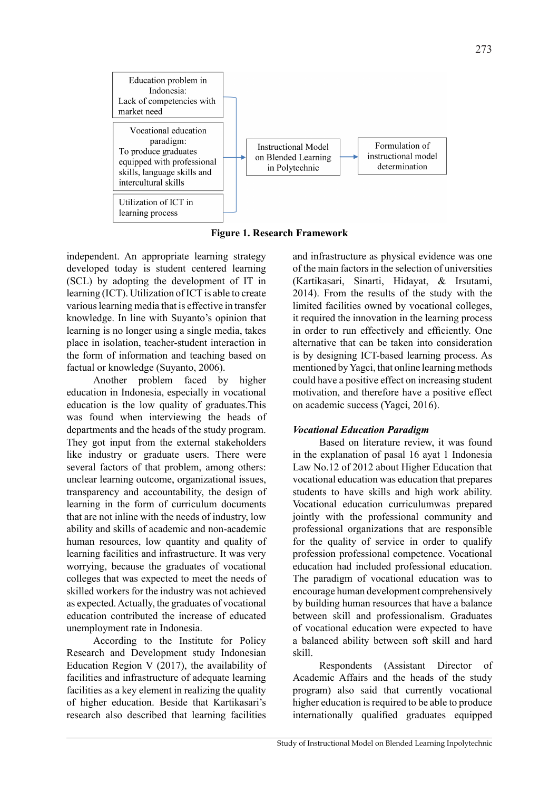

**Figure 1. Research Framework**

independent. An appropriate learning strategy developed today is student centered learning (SCL) by adopting the development of IT in learning (ICT). Utilization of ICT is able to create various learning media that is effective in transfer knowledge. In line with Suyanto's opinion that learning is no longer using a single media, takes place in isolation, teacher-student interaction in the form of information and teaching based on factual or knowledge (Suyanto, 2006).

Another problem faced by higher education in Indonesia, especially in vocational education is the low quality of graduates.This was found when interviewing the heads of departments and the heads of the study program. They got input from the external stakeholders like industry or graduate users. There were several factors of that problem, among others: unclear learning outcome, organizational issues, transparency and accountability, the design of learning in the form of curriculum documents that are not inline with the needs of industry, low ability and skills of academic and non-academic human resources, low quantity and quality of learning facilities and infrastructure. It was very worrying, because the graduates of vocational colleges that was expected to meet the needs of skilled workers for the industry was not achieved as expected. Actually, the graduates of vocational education contributed the increase of educated unemployment rate in Indonesia.

According to the Institute for Policy Research and Development study Indonesian Education Region V (2017), the availability of facilities and infrastructure of adequate learning facilities as a key element in realizing the quality of higher education. Beside that Kartikasari's research also described that learning facilities and infrastructure as physical evidence was one of the main factors in the selection of universities (Kartikasari, Sinarti, Hidayat, & Irsutami, 2014). From the results of the study with the limited facilities owned by vocational colleges, it required the innovation in the learning process in order to run effectively and efficiently. One alternative that can be taken into consideration is by designing ICT-based learning process. As mentioned by Yagci, that online learning methods could have a positive effect on increasing student motivation, and therefore have a positive effect on academic success (Yagci, 2016).

# *Vocational Education Paradigm*

Based on literature review, it was found in the explanation of pasal 16 ayat 1 Indonesia Law No.12 of 2012 about Higher Education that vocational education was education that prepares students to have skills and high work ability. Vocational education curriculumwas prepared jointly with the professional community and professional organizations that are responsible for the quality of service in order to qualify profession professional competence. Vocational education had included professional education. The paradigm of vocational education was to encourage human development comprehensively by building human resources that have a balance between skill and professionalism. Graduates of vocational education were expected to have a balanced ability between soft skill and hard skill.

Respondents (Assistant Director of Academic Affairs and the heads of the study program) also said that currently vocational higher education is required to be able to produce internationally qualified graduates equipped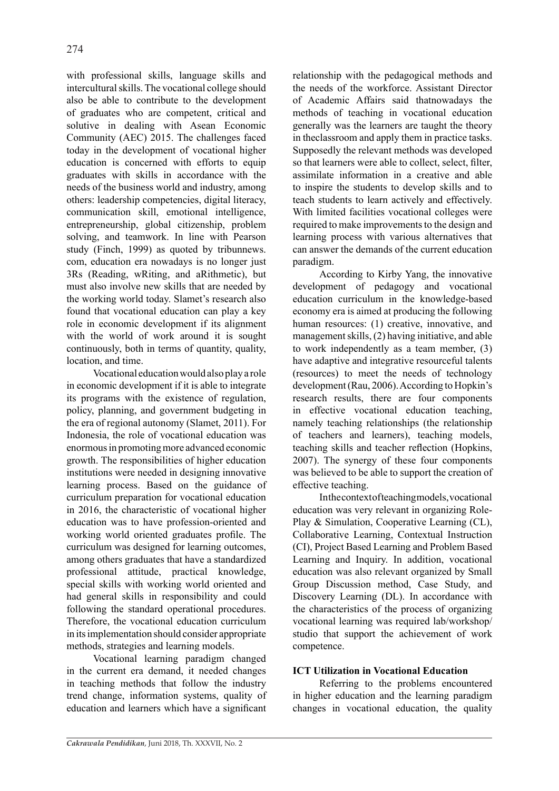with professional skills, language skills and intercultural skills. The vocational college should also be able to contribute to the development of graduates who are competent, critical and solutive in dealing with Asean Economic Community (AEC) 2015. The challenges faced today in the development of vocational higher education is concerned with efforts to equip graduates with skills in accordance with the needs of the business world and industry, among others: leadership competencies, digital literacy, communication skill, emotional intelligence, entrepreneurship, global citizenship, problem solving, and teamwork. In line with Pearson study (Finch, 1999) as quoted by tribunnews. com, education era nowadays is no longer just 3Rs (Reading, wRiting, and aRithmetic), but must also involve new skills that are needed by the working world today. Slamet's research also found that vocational education can play a key role in economic development if its alignment with the world of work around it is sought continuously, both in terms of quantity, quality, location, and time.

Vocational education would also play a role in economic development if it is able to integrate its programs with the existence of regulation, policy, planning, and government budgeting in the era of regional autonomy (Slamet, 2011). For Indonesia, the role of vocational education was enormous in promoting more advanced economic growth. The responsibilities of higher education institutions were needed in designing innovative learning process. Based on the guidance of curriculum preparation for vocational education in 2016, the characteristic of vocational higher education was to have profession-oriented and working world oriented graduates profile. The curriculum was designed for learning outcomes, among others graduates that have a standardized professional attitude, practical knowledge, special skills with working world oriented and had general skills in responsibility and could following the standard operational procedures. Therefore, the vocational education curriculum in its implementation should consider appropriate methods, strategies and learning models.

Vocational learning paradigm changed in the current era demand, it needed changes in teaching methods that follow the industry trend change, information systems, quality of education and learners which have a significant relationship with the pedagogical methods and the needs of the workforce. Assistant Director of Academic Affairs said thatnowadays the methods of teaching in vocational education generally was the learners are taught the theory in theclassroom and apply them in practice tasks. Supposedly the relevant methods was developed so that learners were able to collect, select, filter, assimilate information in a creative and able to inspire the students to develop skills and to teach students to learn actively and effectively. With limited facilities vocational colleges were required to make improvements to the design and learning process with various alternatives that can answer the demands of the current education paradigm.

According to Kirby Yang, the innovative development of pedagogy and vocational education curriculum in the knowledge-based economy era is aimed at producing the following human resources: (1) creative, innovative, and management skills, (2) having initiative, and able to work independently as a team member, (3) have adaptive and integrative resourceful talents (resources) to meet the needs of technology development (Rau, 2006). According to Hopkin's research results, there are four components in effective vocational education teaching, namely teaching relationships (the relationship of teachers and learners), teaching models, teaching skills and teacher reflection (Hopkins, 2007). The synergy of these four components was believed to be able to support the creation of effective teaching.

In the context of teaching models, vocational education was very relevant in organizing Role-Play & Simulation, Cooperative Learning (CL), Collaborative Learning, Contextual Instruction (CI), Project Based Learning and Problem Based Learning and Inquiry. In addition, vocational education was also relevant organized by Small Group Discussion method, Case Study, and Discovery Learning (DL). In accordance with the characteristics of the process of organizing vocational learning was required lab/workshop/ studio that support the achievement of work competence.

# **ICT Utilization in Vocational Education**

Referring to the problems encountered in higher education and the learning paradigm changes in vocational education, the quality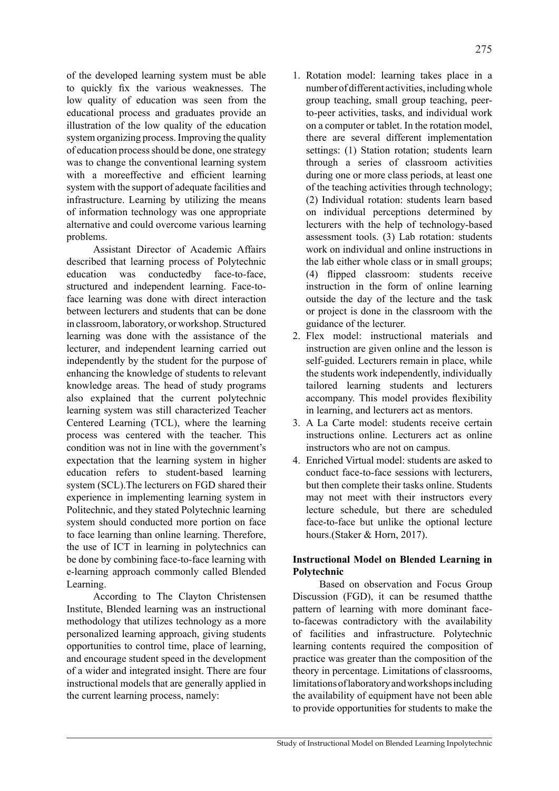of the developed learning system must be able to quickly fix the various weaknesses. The low quality of education was seen from the educational process and graduates provide an illustration of the low quality of the education system organizing process. Improving the quality of education process should be done, one strategy was to change the conventional learning system with a moreeffective and efficient learning system with the support of adequate facilities and infrastructure. Learning by utilizing the means of information technology was one appropriate alternative and could overcome various learning problems.

Assistant Director of Academic Affairs described that learning process of Polytechnic education was conductedby face-to-face, structured and independent learning. Face-toface learning was done with direct interaction between lecturers and students that can be done in classroom, laboratory, or workshop. Structured learning was done with the assistance of the lecturer, and independent learning carried out independently by the student for the purpose of enhancing the knowledge of students to relevant knowledge areas. The head of study programs also explained that the current polytechnic learning system was still characterized Teacher Centered Learning (TCL), where the learning process was centered with the teacher. This condition was not in line with the government's expectation that the learning system in higher education refers to student-based learning system (SCL).The lecturers on FGD shared their experience in implementing learning system in Politechnic, and they stated Polytechnic learning system should conducted more portion on face to face learning than online learning. Therefore, the use of ICT in learning in polytechnics can be done by combining face-to-face learning with e-learning approach commonly called Blended Learning.

According to The Clayton Christensen Institute, Blended learning was an instructional methodology that utilizes technology as a more personalized learning approach, giving students opportunities to control time, place of learning, and encourage student speed in the development of a wider and integrated insight. There are four instructional models that are generally applied in the current learning process, namely:

- 1. Rotation model: learning takes place in a number of different activities, including whole group teaching, small group teaching, peerto-peer activities, tasks, and individual work on a computer or tablet. In the rotation model, there are several different implementation settings: (1) Station rotation; students learn through a series of classroom activities during one or more class periods, at least one of the teaching activities through technology; (2) Individual rotation: students learn based on individual perceptions determined by lecturers with the help of technology-based assessment tools. (3) Lab rotation: students work on individual and online instructions in the lab either whole class or in small groups; (4) flipped classroom: students receive instruction in the form of online learning outside the day of the lecture and the task or project is done in the classroom with the guidance of the lecturer.
- 2. Flex model: instructional materials and instruction are given online and the lesson is self-guided. Lecturers remain in place, while the students work independently, individually tailored learning students and lecturers accompany. This model provides flexibility in learning, and lecturers act as mentors.
- 3. A La Carte model: students receive certain instructions online. Lecturers act as online instructors who are not on campus.
- 4. Enriched Virtual model: students are asked to conduct face-to-face sessions with lecturers, but then complete their tasks online. Students may not meet with their instructors every lecture schedule, but there are scheduled face-to-face but unlike the optional lecture hours.(Staker & Horn, 2017).

# **Instructional Model on Blended Learning in Polytechnic**

Based on observation and Focus Group Discussion (FGD), it can be resumed thatthe pattern of learning with more dominant faceto-facewas contradictory with the availability of facilities and infrastructure. Polytechnic learning contents required the composition of practice was greater than the composition of the theory in percentage. Limitations of classrooms, limitations of laboratory and workshops including the availability of equipment have not been able to provide opportunities for students to make the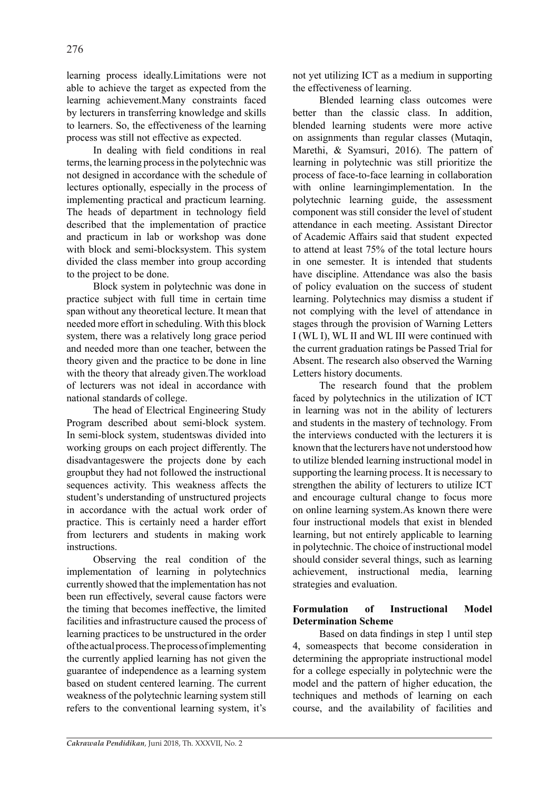learning process ideally.Limitations were not able to achieve the target as expected from the learning achievement.Many constraints faced by lecturers in transferring knowledge and skills to learners. So, the effectiveness of the learning process was still not effective as expected.

In dealing with field conditions in real terms, the learning process in the polytechnic was not designed in accordance with the schedule of lectures optionally, especially in the process of implementing practical and practicum learning. The heads of department in technology field described that the implementation of practice and practicum in lab or workshop was done with block and semi-blocksystem. This system divided the class member into group according to the project to be done.

Block system in polytechnic was done in practice subject with full time in certain time span without any theoretical lecture. It mean that needed more effort in scheduling. With this block system, there was a relatively long grace period and needed more than one teacher, between the theory given and the practice to be done in line with the theory that already given.The workload of lecturers was not ideal in accordance with national standards of college.

The head of Electrical Engineering Study Program described about semi-block system. In semi-block system, studentswas divided into working groups on each project differently. The disadvantageswere the projects done by each groupbut they had not followed the instructional sequences activity. This weakness affects the student's understanding of unstructured projects in accordance with the actual work order of practice. This is certainly need a harder effort from lecturers and students in making work instructions.

Observing the real condition of the implementation of learning in polytechnics currently showed that the implementation has not been run effectively, several cause factors were the timing that becomes ineffective, the limited facilities and infrastructure caused the process of learning practices to be unstructured in the order of the actual process. The process of implementing the currently applied learning has not given the guarantee of independence as a learning system based on student centered learning. The current weakness of the polytechnic learning system still refers to the conventional learning system, it's not yet utilizing ICT as a medium in supporting the effectiveness of learning.

Blended learning class outcomes were better than the classic class. In addition, blended learning students were more active on assignments than regular classes (Mutaqin, Marethi, & Syamsuri, 2016). The pattern of learning in polytechnic was still prioritize the process of face-to-face learning in collaboration with online learningimplementation. In the polytechnic learning guide, the assessment component was still consider the level of student attendance in each meeting. Assistant Director of Academic Affairs said that student expected to attend at least 75% of the total lecture hours in one semester. It is intended that students have discipline. Attendance was also the basis of policy evaluation on the success of student learning. Polytechnics may dismiss a student if not complying with the level of attendance in stages through the provision of Warning Letters I (WL I), WL II and WL III were continued with the current graduation ratings be Passed Trial for Absent. The research also observed the Warning Letters history documents.

The research found that the problem faced by polytechnics in the utilization of ICT in learning was not in the ability of lecturers and students in the mastery of technology. From the interviews conducted with the lecturers it is known that the lecturers have not understood how to utilize blended learning instructional model in supporting the learning process. It is necessary to strengthen the ability of lecturers to utilize ICT and encourage cultural change to focus more on online learning system.As known there were four instructional models that exist in blended learning, but not entirely applicable to learning in polytechnic. The choice of instructional model should consider several things, such as learning achievement, instructional media, learning strategies and evaluation.

# **Formulation of Instructional Model Determination Scheme**

Based on data findings in step 1 until step 4, someaspects that become consideration in determining the appropriate instructional model for a college especially in polytechnic were the model and the pattern of higher education, the techniques and methods of learning on each course, and the availability of facilities and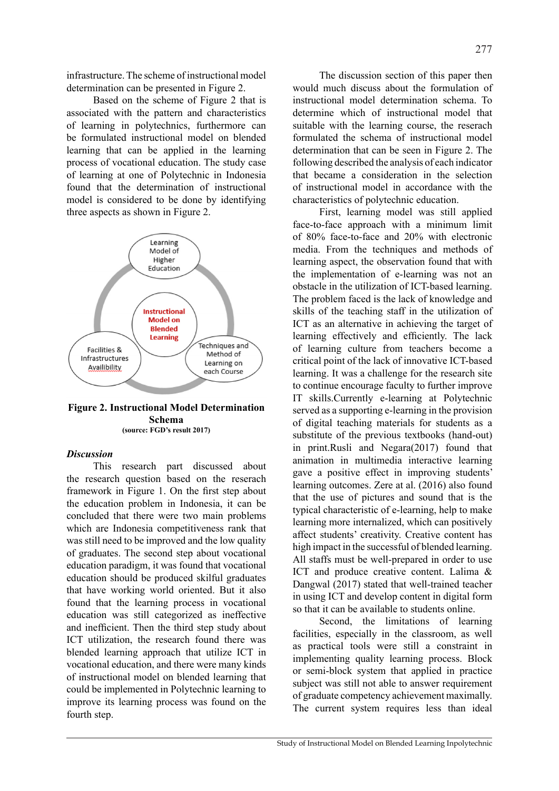infrastructure. The scheme of instructional model determination can be presented in Figure 2.

Based on the scheme of Figure 2 that is associated with the pattern and characteristics of learning in polytechnics, furthermore can be formulated instructional model on blended learning that can be applied in the learning process of vocational education. The study case of learning at one of Polytechnic in Indonesia found that the determination of instructional model is considered to be done by identifying three aspects as shown in Figure 2.



#### **Figure 2. Instructional Model Determination Schema (source: FGD's result 2017)**

### *Discussion*

This research part discussed about the research question based on the reserach framework in Figure 1. On the first step about the education problem in Indonesia, it can be concluded that there were two main problems which are Indonesia competitiveness rank that was still need to be improved and the low quality of graduates. The second step about vocational education paradigm, it was found that vocational education should be produced skilful graduates that have working world oriented. But it also found that the learning process in vocational education was still categorized as ineffective and inefficient. Then the third step study about ICT utilization, the research found there was blended learning approach that utilize ICT in vocational education, and there were many kinds of instructional model on blended learning that could be implemented in Polytechnic learning to improve its learning process was found on the fourth step.

The discussion section of this paper then would much discuss about the formulation of instructional model determination schema. To determine which of instructional model that suitable with the learning course, the reserach formulated the schema of instructional model determination that can be seen in Figure 2. The following described the analysis of each indicator that became a consideration in the selection of instructional model in accordance with the characteristics of polytechnic education.

First, learning model was still applied face-to-face approach with a minimum limit of 80% face-to-face and 20% with electronic media. From the techniques and methods of learning aspect, the observation found that with the implementation of e-learning was not an obstacle in the utilization of ICT-based learning. The problem faced is the lack of knowledge and skills of the teaching staff in the utilization of ICT as an alternative in achieving the target of learning effectively and efficiently. The lack of learning culture from teachers become a critical point of the lack of innovative ICT-based learning. It was a challenge for the research site to continue encourage faculty to further improve IT skills.Currently e-learning at Polytechnic served as a supporting e-learning in the provision of digital teaching materials for students as a substitute of the previous textbooks (hand-out) in print.Rusli and Negara(2017) found that animation in multimedia interactive learning gave a positive effect in improving students' learning outcomes. Zere at al. (2016) also found that the use of pictures and sound that is the typical characteristic of e-learning, help to make learning more internalized, which can positively affect students' creativity. Creative content has high impact in the successful of blended learning. All staffs must be well-prepared in order to use ICT and produce creative content. Lalima & Dangwal (2017) stated that well-trained teacher in using ICT and develop content in digital form so that it can be available to students online.

Second, the limitations of learning facilities, especially in the classroom, as well as practical tools were still a constraint in implementing quality learning process. Block or semi-block system that applied in practice subject was still not able to answer requirement of graduate competency achievement maximally. The current system requires less than ideal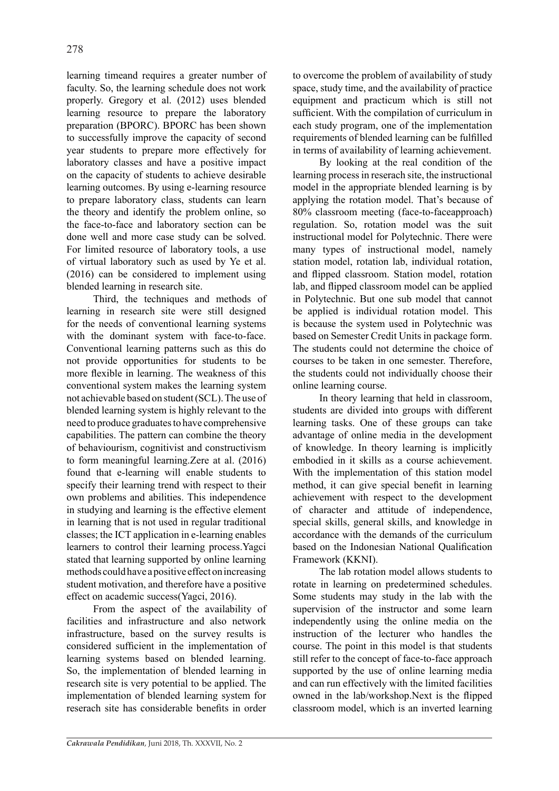learning timeand requires a greater number of faculty. So, the learning schedule does not work properly. Gregory et al. (2012) uses blended learning resource to prepare the laboratory preparation (BPORC). BPORC has been shown to successfully improve the capacity of second year students to prepare more effectively for laboratory classes and have a positive impact on the capacity of students to achieve desirable learning outcomes. By using e-learning resource to prepare laboratory class, students can learn the theory and identify the problem online, so the face-to-face and laboratory section can be done well and more case study can be solved. For limited resource of laboratory tools, a use of virtual laboratory such as used by Ye et al. (2016) can be considered to implement using blended learning in research site.

Third, the techniques and methods of learning in research site were still designed for the needs of conventional learning systems with the dominant system with face-to-face. Conventional learning patterns such as this do not provide opportunities for students to be more flexible in learning. The weakness of this conventional system makes the learning system not achievable based on student (SCL). The use of blended learning system is highly relevant to the need to produce graduates to have comprehensive capabilities. The pattern can combine the theory of behaviourism, cognitivist and constructivism to form meaningful learning.Zere at al. (2016) found that e-learning will enable students to specify their learning trend with respect to their own problems and abilities. This independence in studying and learning is the effective element in learning that is not used in regular traditional classes; the ICT application in e-learning enables learners to control their learning process.Yagci stated that learning supported by online learning methods could have a positive effect on increasing student motivation, and therefore have a positive effect on academic success(Yagci, 2016).

From the aspect of the availability of facilities and infrastructure and also network infrastructure, based on the survey results is considered sufficient in the implementation of learning systems based on blended learning. So, the implementation of blended learning in research site is very potential to be applied. The implementation of blended learning system for reserach site has considerable benefits in order to overcome the problem of availability of study space, study time, and the availability of practice equipment and practicum which is still not sufficient. With the compilation of curriculum in each study program, one of the implementation requirements of blended learning can be fulfilled in terms of availability of learning achievement.

By looking at the real condition of the learning process in reserach site, the instructional model in the appropriate blended learning is by applying the rotation model. That's because of 80% classroom meeting (face-to-faceapproach) regulation. So, rotation model was the suit instructional model for Polytechnic. There were many types of instructional model, namely station model, rotation lab, individual rotation, and flipped classroom. Station model, rotation lab, and flipped classroom model can be applied in Polytechnic. But one sub model that cannot be applied is individual rotation model. This is because the system used in Polytechnic was based on Semester Credit Units in package form. The students could not determine the choice of courses to be taken in one semester. Therefore, the students could not individually choose their online learning course.

In theory learning that held in classroom, students are divided into groups with different learning tasks. One of these groups can take advantage of online media in the development of knowledge. In theory learning is implicitly embodied in it skills as a course achievement. With the implementation of this station model method, it can give special benefit in learning achievement with respect to the development of character and attitude of independence, special skills, general skills, and knowledge in accordance with the demands of the curriculum based on the Indonesian National Qualification Framework (KKNI).

The lab rotation model allows students to rotate in learning on predetermined schedules. Some students may study in the lab with the supervision of the instructor and some learn independently using the online media on the instruction of the lecturer who handles the course. The point in this model is that students still refer to the concept of face-to-face approach supported by the use of online learning media and can run effectively with the limited facilities owned in the lab/workshop.Next is the flipped classroom model, which is an inverted learning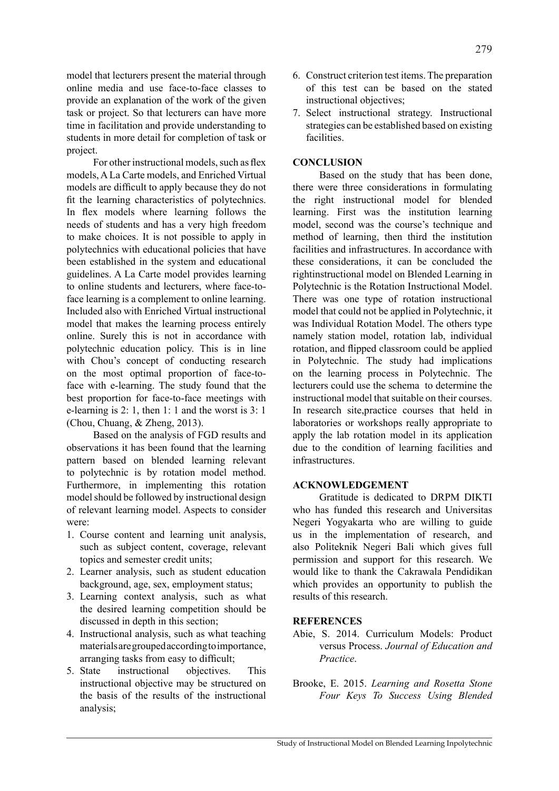model that lecturers present the material through online media and use face-to-face classes to provide an explanation of the work of the given task or project. So that lecturers can have more time in facilitation and provide understanding to students in more detail for completion of task or project.

For other instructional models, such as flex models, A La Carte models, and Enriched Virtual models are difficult to apply because they do not fit the learning characteristics of polytechnics. In flex models where learning follows the needs of students and has a very high freedom to make choices. It is not possible to apply in polytechnics with educational policies that have been established in the system and educational guidelines. A La Carte model provides learning to online students and lecturers, where face-toface learning is a complement to online learning. Included also with Enriched Virtual instructional model that makes the learning process entirely online. Surely this is not in accordance with polytechnic education policy. This is in line with Chou's concept of conducting research on the most optimal proportion of face-toface with e-learning. The study found that the best proportion for face-to-face meetings with e-learning is 2: 1, then 1: 1 and the worst is 3: 1 (Chou, Chuang, & Zheng, 2013).

Based on the analysis of FGD results and observations it has been found that the learning pattern based on blended learning relevant to polytechnic is by rotation model method. Furthermore, in implementing this rotation model should be followed by instructional design of relevant learning model. Aspects to consider were:

- 1. Course content and learning unit analysis, such as subject content, coverage, relevant topics and semester credit units;
- 2. Learner analysis, such as student education background, age, sex, employment status;
- 3. Learning context analysis, such as what the desired learning competition should be discussed in depth in this section;
- 4. Instructional analysis, such as what teaching materials are grouped according to importance, arranging tasks from easy to difficult;
- 5. State instructional objectives. This instructional objective may be structured on the basis of the results of the instructional analysis;
- 6. Construct criterion test items. The preparation of this test can be based on the stated instructional objectives:
- 7. Select instructional strategy. Instructional strategies can be established based on existing facilities.

# **CONCLUSION**

Based on the study that has been done, there were three considerations in formulating the right instructional model for blended learning. First was the institution learning model, second was the course's technique and method of learning, then third the institution facilities and infrastructures. In accordance with these considerations, it can be concluded the rightinstructional model on Blended Learning in Polytechnic is the Rotation Instructional Model. There was one type of rotation instructional model that could not be applied in Polytechnic, it was Individual Rotation Model. The others type namely station model, rotation lab, individual rotation, and flipped classroom could be applied in Polytechnic. The study had implications on the learning process in Polytechnic. The lecturers could use the schema to determine the instructional model that suitable on their courses. In research site,practice courses that held in laboratories or workshops really appropriate to apply the lab rotation model in its application due to the condition of learning facilities and infrastructures.

## **ACKNOWLEDGEMENT**

Gratitude is dedicated to DRPM DIKTI who has funded this research and Universitas Negeri Yogyakarta who are willing to guide us in the implementation of research, and also Politeknik Negeri Bali which gives full permission and support for this research. We would like to thank the Cakrawala Pendidikan which provides an opportunity to publish the results of this research.

## **REFERENCES**

- Abie, S. 2014. Curriculum Models: Product versus Process. *Journal of Education and Practice*.
- Brooke, E. 2015. *Learning and Rosetta Stone Four Keys To Success Using Blended*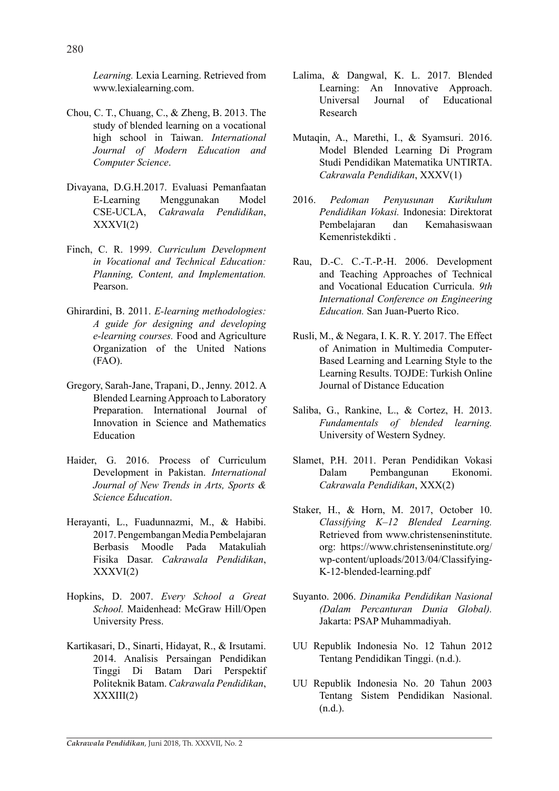*Learning.* Lexia Learning. Retrieved from www.lexialearning.com.

- Chou, C. T., Chuang, C., & Zheng, B. 2013. The study of blended learning on a vocational high school in Taiwan. *International Journal of Modern Education and Computer Science*.
- Divayana, D.G.H.2017. Evaluasi Pemanfaatan E-Learning Menggunakan Model CSE-UCLA, *Cakrawala Pendidikan*,  $XXXVI(2)$
- Finch, C. R. 1999. *Curriculum Development in Vocational and Technical Education: Planning, Content, and Implementation.* Pearson.
- Ghirardini, B. 2011. *E-learning methodologies: A guide for designing and developing e-learning courses.* Food and Agriculture Organization of the United Nations (FAO).
- Gregory, Sarah-Jane, Trapani, D., Jenny. 2012. A Blended Learning Approach to Laboratory Preparation. International Journal of Innovation in Science and Mathematics Education
- Haider, G. 2016. Process of Curriculum Development in Pakistan. *International Journal of New Trends in Arts, Sports & Science Education*.
- Herayanti, L., Fuadunnazmi, M., & Habibi. 2017. Pengembangan Media Pembelajaran Berbasis Moodle Pada Matakuliah Fisika Dasar. *Cakrawala Pendidikan*,  $XXXVI(2)$
- Hopkins, D. 2007. *Every School a Great School.* Maidenhead: McGraw Hill/Open University Press.
- Kartikasari, D., Sinarti, Hidayat, R., & Irsutami. 2014. Analisis Persaingan Pendidikan Tinggi Di Batam Dari Perspektif Politeknik Batam. *Cakrawala Pendidikan*, XXXIII(2)
- Lalima, & Dangwal, K. L. 2017. Blended Learning: An Innovative Approach.<br>Universal Journal of Educational Iournal of Research
- Mutaqin, A., Marethi, I., & Syamsuri. 2016. Model Blended Learning Di Program Studi Pendidikan Matematika UNTIRTA. *Cakrawala Pendidikan*, XXXV(1)
- 2016. *Pedoman Penyusunan Kurikulum Pendidikan Vokasi.* Indonesia: Direktorat Pembelajaran dan Kemahasiswaan Kemenristekdikti .
- Rau, D.-C. C.-T.-P.-H. 2006. Development and Teaching Approaches of Technical and Vocational Education Curricula. *9th International Conference on Engineering Education.* San Juan-Puerto Rico.
- Rusli, M., & Negara, I. K. R. Y. 2017. The Effect of Animation in Multimedia Computer-Based Learning and Learning Style to the Learning Results. TOJDE: Turkish Online Journal of Distance Education
- Saliba, G., Rankine, L., & Cortez, H. 2013. *Fundamentals of blended learning.* University of Western Sydney.
- Slamet, P.H. 2011. Peran Pendidikan Vokasi Dalam Pembangunan Ekonomi. *Cakrawala Pendidikan*, XXX(2)
- Staker, H., & Horn, M. 2017, October 10. *Classifying K–12 Blended Learning.* Retrieved from www.christenseninstitute. org: https://www.christenseninstitute.org/ wp-content/uploads/2013/04/Classifying-K-12-blended-learning.pdf
- Suyanto. 2006. *Dinamika Pendidikan Nasional (Dalam Percanturan Dunia Global).* Jakarta: PSAP Muhammadiyah.
- UU Republik Indonesia No. 12 Tahun 2012 Tentang Pendidikan Tinggi. (n.d.).
- UU Republik Indonesia No. 20 Tahun 2003 Tentang Sistem Pendidikan Nasional. (n.d.).